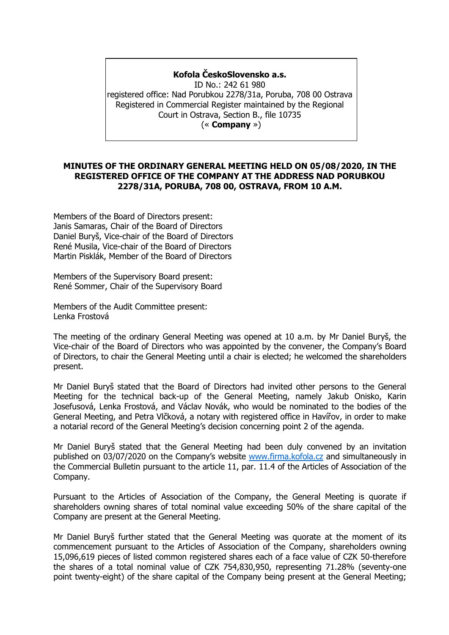### **Kofola ČeskoSlovensko a.s.**

ID No.: 242 61 980 registered office: Nad Porubkou 2278/31a, Poruba, 708 00 Ostrava Registered in Commercial Register maintained by the Regional Court in Ostrava, Section B., file 10735 (« **Company** »)

### **MINUTES OF THE ORDINARY GENERAL MEETING HELD ON 05/08/2020, IN THE REGISTERED OFFICE OF THE COMPANY AT THE ADDRESS NAD PORUBKOU 2278/31A, PORUBA, 708 00, OSTRAVA, FROM 10 A.M.**

Members of the Board of Directors present: Janis Samaras, Chair of the Board of Directors Daniel Buryš, Vice-chair of the Board of Directors René Musila, Vice-chair of the Board of Directors Martin Pisklák, Member of the Board of Directors

Members of the Supervisory Board present: René Sommer, Chair of the Supervisory Board

Members of the Audit Committee present: Lenka Frostová

The meeting of the ordinary General Meeting was opened at 10 a.m. by Mr Daniel Buryš, the Vice-chair of the Board of Directors who was appointed by the convener, the Company's Board of Directors, to chair the General Meeting until a chair is elected; he welcomed the shareholders present.

Mr Daniel Buryš stated that the Board of Directors had invited other persons to the General Meeting for the technical back-up of the General Meeting, namely Jakub Onisko, Karin Josefusová, Lenka Frostová, and Václav Novák, who would be nominated to the bodies of the General Meeting, and Petra Vlčková, a notary with registered office in Havířov, in order to make a notarial record of the General Meeting's decision concerning point 2 of the agenda.

Mr Daniel Buryš stated that the General Meeting had been duly convened by an invitation published on 03/07/2020 on the Company's website [www.firma.kofola.cz](http://www.firma.kofola.cz/) and simultaneously in the Commercial Bulletin pursuant to the article 11, par. 11.4 of the Articles of Association of the Company.

Pursuant to the Articles of Association of the Company, the General Meeting is quorate if shareholders owning shares of total nominal value exceeding 50% of the share capital of the Company are present at the General Meeting.

Mr Daniel Buryš further stated that the General Meeting was quorate at the moment of its commencement pursuant to the Articles of Association of the Company, shareholders owning 15,096,619 pieces of listed common registered shares each of a face value of CZK 50-therefore the shares of a total nominal value of CZK 754,830,950, representing 71.28% (seventy-one point twenty-eight) of the share capital of the Company being present at the General Meeting;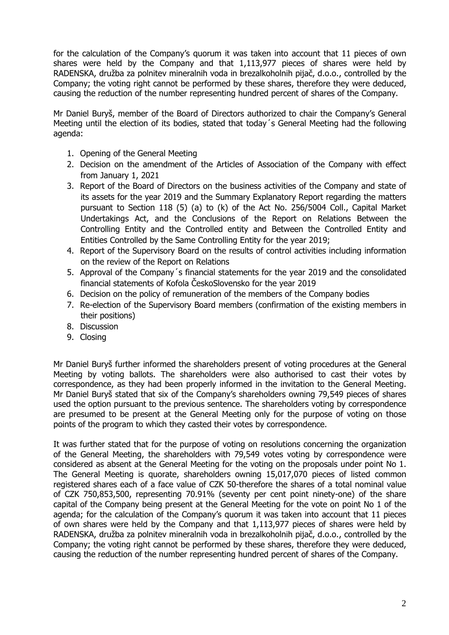for the calculation of the Company's quorum it was taken into account that 11 pieces of own shares were held by the Company and that 1,113,977 pieces of shares were held by RADENSKA, družba za polnitev mineralnih voda in brezalkoholnih pijač, d.o.o., controlled by the Company; the voting right cannot be performed by these shares, therefore they were deduced, causing the reduction of the number representing hundred percent of shares of the Company.

Mr Daniel Buryš, member of the Board of Directors authorized to chair the Company's General Meeting until the election of its bodies, stated that today´s General Meeting had the following agenda:

- 1. Opening of the General Meeting
- 2. Decision on the amendment of the Articles of Association of the Company with effect from January 1, 2021
- 3. Report of the Board of Directors on the business activities of the Company and state of its assets for the year 2019 and the Summary Explanatory Report regarding the matters pursuant to Section 118 (5) (a) to (k) of the Act No. 256/5004 Coll., Capital Market Undertakings Act, and the Conclusions of the Report on Relations Between the Controlling Entity and the Controlled entity and Between the Controlled Entity and Entities Controlled by the Same Controlling Entity for the year 2019;
- 4. Report of the Supervisory Board on the results of control activities including information on the review of the Report on Relations
- 5. Approval of the Company´s financial statements for the year 2019 and the consolidated financial statements of Kofola ČeskoSlovensko for the year 2019
- 6. Decision on the policy of remuneration of the members of the Company bodies
- 7. Re-election of the Supervisory Board members (confirmation of the existing members in their positions)
- 8. Discussion
- 9. Closing

Mr Daniel Buryš further informed the shareholders present of voting procedures at the General Meeting by voting ballots. The shareholders were also authorised to cast their votes by correspondence, as they had been properly informed in the invitation to the General Meeting. Mr Daniel Buryš stated that six of the Company's shareholders owning 79,549 pieces of shares used the option pursuant to the previous sentence. The shareholders voting by correspondence are presumed to be present at the General Meeting only for the purpose of voting on those points of the program to which they casted their votes by correspondence.

It was further stated that for the purpose of voting on resolutions concerning the organization of the General Meeting, the shareholders with 79,549 votes voting by correspondence were considered as absent at the General Meeting for the voting on the proposals under point No 1. The General Meeting is quorate, shareholders owning 15,017,070 pieces of listed common registered shares each of a face value of CZK 50-therefore the shares of a total nominal value of CZK 750,853,500, representing 70.91% (seventy per cent point ninety-one) of the share capital of the Company being present at the General Meeting for the vote on point No 1 of the agenda; for the calculation of the Company's quorum it was taken into account that 11 pieces of own shares were held by the Company and that 1,113,977 pieces of shares were held by RADENSKA, družba za polnitev mineralnih voda in brezalkoholnih pijač, d.o.o., controlled by the Company; the voting right cannot be performed by these shares, therefore they were deduced, causing the reduction of the number representing hundred percent of shares of the Company.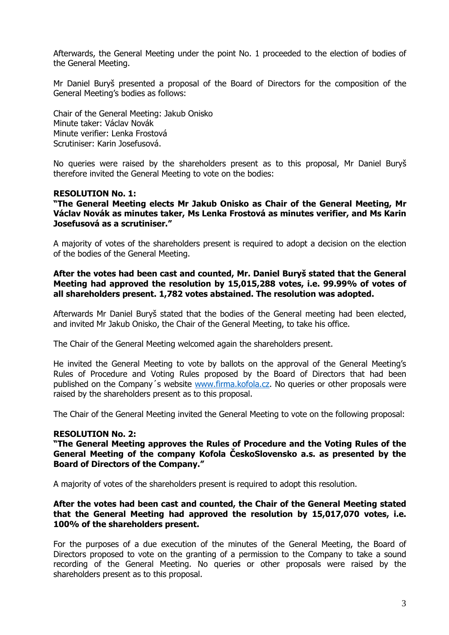Afterwards, the General Meeting under the point No. 1 proceeded to the election of bodies of the General Meeting.

Mr Daniel Buryš presented a proposal of the Board of Directors for the composition of the General Meeting's bodies as follows:

Chair of the General Meeting: Jakub Onisko Minute taker: Václav Novák Minute verifier: Lenka Frostová Scrutiniser: Karin Josefusová.

No queries were raised by the shareholders present as to this proposal, Mr Daniel Buryš therefore invited the General Meeting to vote on the bodies:

### **RESOLUTION No. 1:**

### **"The General Meeting elects Mr Jakub Onisko as Chair of the General Meeting, Mr Václav Novák as minutes taker, Ms Lenka Frostová as minutes verifier, and Ms Karin Josefusová as a scrutiniser."**

A majority of votes of the shareholders present is required to adopt a decision on the election of the bodies of the General Meeting.

### **After the votes had been cast and counted, Mr. Daniel Buryš stated that the General Meeting had approved the resolution by 15,015,288 votes, i.e. 99.99% of votes of all shareholders present. 1,782 votes abstained. The resolution was adopted.**

Afterwards Mr Daniel Buryš stated that the bodies of the General meeting had been elected, and invited Mr Jakub Onisko, the Chair of the General Meeting, to take his office.

The Chair of the General Meeting welcomed again the shareholders present.

He invited the General Meeting to vote by ballots on the approval of the General Meeting's Rules of Procedure and Voting Rules proposed by the Board of Directors that had been published on the Company´s website [www.firma.kofola.cz.](http://www.firma.kofola.cz/) No queries or other proposals were raised by the shareholders present as to this proposal.

The Chair of the General Meeting invited the General Meeting to vote on the following proposal:

### **RESOLUTION No. 2:**

**"The General Meeting approves the Rules of Procedure and the Voting Rules of the General Meeting of the company Kofola ČeskoSlovensko a.s. as presented by the Board of Directors of the Company."**

A majority of votes of the shareholders present is required to adopt this resolution.

#### **After the votes had been cast and counted, the Chair of the General Meeting stated that the General Meeting had approved the resolution by 15,017,070 votes, i.e. 100% of the shareholders present.**

For the purposes of a due execution of the minutes of the General Meeting, the Board of Directors proposed to vote on the granting of a permission to the Company to take a sound recording of the General Meeting. No queries or other proposals were raised by the shareholders present as to this proposal.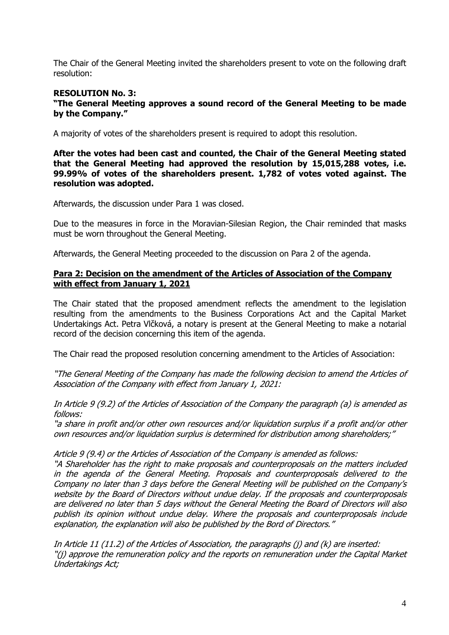The Chair of the General Meeting invited the shareholders present to vote on the following draft resolution:

## **RESOLUTION No. 3:**

**"The General Meeting approves a sound record of the General Meeting to be made by the Company."** 

A majority of votes of the shareholders present is required to adopt this resolution.

**After the votes had been cast and counted, the Chair of the General Meeting stated that the General Meeting had approved the resolution by 15,015,288 votes, i.e. 99.99% of votes of the shareholders present. 1,782 of votes voted against. The resolution was adopted.**

Afterwards, the discussion under Para 1 was closed.

Due to the measures in force in the Moravian-Silesian Region, the Chair reminded that masks must be worn throughout the General Meeting.

Afterwards, the General Meeting proceeded to the discussion on Para 2 of the agenda.

### **Para 2: Decision on the amendment of the Articles of Association of the Company with effect from January 1, 2021**

The Chair stated that the proposed amendment reflects the amendment to the legislation resulting from the amendments to the Business Corporations Act and the Capital Market Undertakings Act. Petra Vlčková, a notary is present at the General Meeting to make a notarial record of the decision concerning this item of the agenda.

The Chair read the proposed resolution concerning amendment to the Articles of Association:

"The General Meeting of the Company has made the following decision to amend the Articles of Association of the Company with effect from January 1, 2021:

In Article 9 (9.2) of the Articles of Association of the Company the paragraph (a) is amended as follows:

"a share in profit and/or other own resources and/or liquidation surplus if a profit and/or other own resources and/or liquidation surplus is determined for distribution among shareholders;"

Article 9 (9.4) or the Articles of Association of the Company is amended as follows:

"A Shareholder has the right to make proposals and counterproposals on the matters included in the agenda of the General Meeting. Proposals and counterproposals delivered to the Company no later than 3 days before the General Meeting will be published on the Company's website by the Board of Directors without undue delay. If the proposals and counterproposals are delivered no later than 5 days without the General Meeting the Board of Directors will also publish its opinion without undue delay. Where the proposals and counterproposals include explanation, the explanation will also be published by the Bord of Directors."

In Article 11 (11.2) of the Articles of Association, the paragraphs (j) and (k) are inserted: "(j) approve the remuneration policy and the reports on remuneration under the Capital Market Undertakings Act;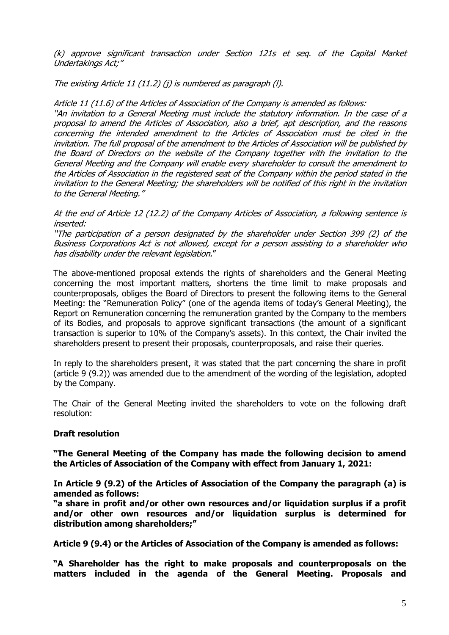(k) approve significant transaction under Section 121s et seq. of the Capital Market Undertakings Act;"

The existing Article 11 (11.2) (j) is numbered as paragraph (l).

Article 11 (11.6) of the Articles of Association of the Company is amended as follows:

"A<sup>n</sup> invitation to a General Meeting must include the statutory information. In the case of a proposal to amend the Articles of Association, also a brief, apt description, and the reasons concerning the intended amendment to the Articles of Association must be cited in the invitation. The full proposal of the amendment to the Articles of Association will be published by the Board of Directors on the website of the Company together with the invitation to the General Meeting and the Company will enable every shareholder to consult the amendment to the Articles of Association in the registered seat of the Company within the period stated in the invitation to the General Meeting; the shareholders will be notified of this right in the invitation to the General Meeting."

At the end of Article 12 (12.2) of the Company Articles of Association, a following sentence is inserted:

"The participation of a person designated by the shareholder under Section 399 (2) of the Business Corporations Act is not allowed, except for a person assisting to a shareholder who has disability under the relevant legislation."

The above-mentioned proposal extends the rights of shareholders and the General Meeting concerning the most important matters, shortens the time limit to make proposals and counterproposals, obliges the Board of Directors to present the following items to the General Meeting: the "Remuneration Policy" (one of the agenda items of today's General Meeting), the Report on Remuneration concerning the remuneration granted by the Company to the members of its Bodies, and proposals to approve significant transactions (the amount of a significant transaction is superior to 10% of the Company's assets). In this context, the Chair invited the shareholders present to present their proposals, counterproposals, and raise their queries.

In reply to the shareholders present, it was stated that the part concerning the share in profit (article 9 (9.2)) was amended due to the amendment of the wording of the legislation, adopted by the Company.

The Chair of the General Meeting invited the shareholders to vote on the following draft resolution:

### **Draft resolution**

**"The General Meeting of the Company has made the following decision to amend the Articles of Association of the Company with effect from January 1, 2021:**

**In Article 9 (9.2) of the Articles of Association of the Company the paragraph (a) is amended as follows:**

**"a share in profit and/or other own resources and/or liquidation surplus if a profit and/or other own resources and/or liquidation surplus is determined for distribution among shareholders;"**

**Article 9 (9.4) or the Articles of Association of the Company is amended as follows:**

**"A Shareholder has the right to make proposals and counterproposals on the matters included in the agenda of the General Meeting. Proposals and**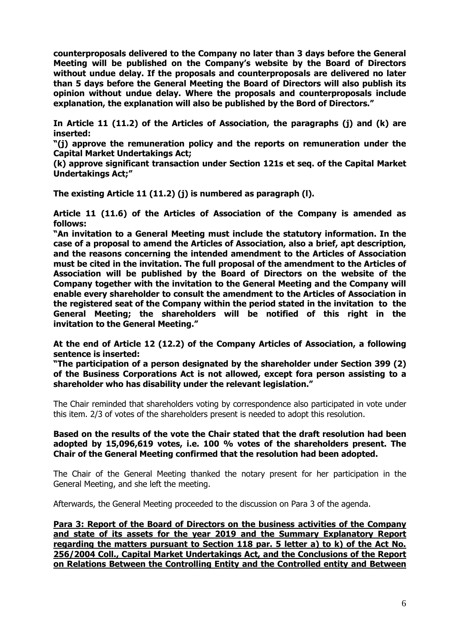**counterproposals delivered to the Company no later than 3 days before the General Meeting will be published on the Company's website by the Board of Directors without undue delay. If the proposals and counterproposals are delivered no later than 5 days before the General Meeting the Board of Directors will also publish its opinion without undue delay. Where the proposals and counterproposals include explanation, the explanation will also be published by the Bord of Directors."**

**In Article 11 (11.2) of the Articles of Association, the paragraphs (j) and (k) are inserted:**

**"(j) approve the remuneration policy and the reports on remuneration under the Capital Market Undertakings Act;**

**(k) approve significant transaction under Section 121s et seq. of the Capital Market Undertakings Act;"**

**The existing Article 11 (11.2) (j) is numbered as paragraph (l).**

**Article 11 (11.6) of the Articles of Association of the Company is amended as follows:**

**"An invitation to a General Meeting must include the statutory information. In the case of a proposal to amend the Articles of Association, also a brief, apt description, and the reasons concerning the intended amendment to the Articles of Association must be cited in the invitation. The full proposal of the amendment to the Articles of Association will be published by the Board of Directors on the website of the Company together with the invitation to the General Meeting and the Company will enable every shareholder to consult the amendment to the Articles of Association in the registered seat of the Company within the period stated in the invitation to the General Meeting; the shareholders will be notified of this right in the invitation to the General Meeting."**

**At the end of Article 12 (12.2) of the Company Articles of Association, a following sentence is inserted:**

**"The participation of a person designated by the shareholder under Section 399 (2) of the Business Corporations Act is not allowed, except fora person assisting to a shareholder who has disability under the relevant legislation."**

The Chair reminded that shareholders voting by correspondence also participated in vote under this item. 2/3 of votes of the shareholders present is needed to adopt this resolution.

### **Based on the results of the vote the Chair stated that the draft resolution had been adopted by 15,096,619 votes, i.e. 100 % votes of the shareholders present. The Chair of the General Meeting confirmed that the resolution had been adopted.**

The Chair of the General Meeting thanked the notary present for her participation in the General Meeting, and she left the meeting.

Afterwards, the General Meeting proceeded to the discussion on Para 3 of the agenda.

**Para 3: Report of the Board of Directors on the business activities of the Company and state of its assets for the year 2019 and the Summary Explanatory Report regarding the matters pursuant to Section 118 par. 5 letter a) to k) of the Act No. 256/2004 Coll., Capital Market Undertakings Act, and the Conclusions of the Report on Relations Between the Controlling Entity and the Controlled entity and Between**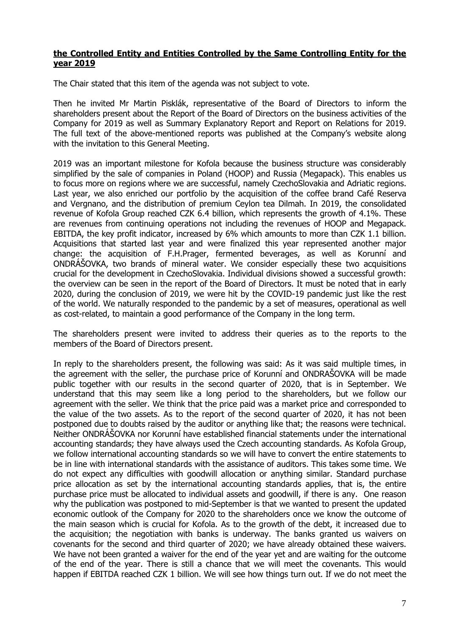### **the Controlled Entity and Entities Controlled by the Same Controlling Entity for the year 2019**

The Chair stated that this item of the agenda was not subject to vote.

Then he invited Mr Martin Pisklák, representative of the Board of Directors to inform the shareholders present about the Report of the Board of Directors on the business activities of the Company for 2019 as well as Summary Explanatory Report and Report on Relations for 2019. The full text of the above-mentioned reports was published at the Company's website along with the invitation to this General Meeting.

2019 was an important milestone for Kofola because the business structure was considerably simplified by the sale of companies in Poland (HOOP) and Russia (Megapack). This enables us to focus more on regions where we are successful, namely CzechoSlovakia and Adriatic regions. Last year, we also enriched our portfolio by the acquisition of the coffee brand Café Reserva and Vergnano, and the distribution of premium Ceylon tea Dilmah. In 2019, the consolidated revenue of Kofola Group reached CZK 6.4 billion, which represents the growth of 4.1%. These are revenues from continuing operations not including the revenues of HOOP and Megapack. EBITDA, the key profit indicator, increased by 6% which amounts to more than CZK 1.1 billion. Acquisitions that started last year and were finalized this year represented another major change: the acquisition of F.H.Prager, fermented beverages, as well as Korunní and ONDRÁŠOVKA, two brands of mineral water. We consider especially these two acquisitions crucial for the development in CzechoSlovakia. Individual divisions showed a successful growth: the overview can be seen in the report of the Board of Directors. It must be noted that in early 2020, during the conclusion of 2019, we were hit by the COVID-19 pandemic just like the rest of the world. We naturally responded to the pandemic by a set of measures, operational as well as cost-related, to maintain a good performance of the Company in the long term.

The shareholders present were invited to address their queries as to the reports to the members of the Board of Directors present.

In reply to the shareholders present, the following was said: As it was said multiple times, in the agreement with the seller, the purchase price of Korunní and ONDRAŠOVKA will be made public together with our results in the second quarter of 2020, that is in September. We understand that this may seem like a long period to the shareholders, but we follow our agreement with the seller. We think that the price paid was a market price and corresponded to the value of the two assets. As to the report of the second quarter of 2020, it has not been postponed due to doubts raised by the auditor or anything like that; the reasons were technical. Neither ONDRÁŠOVKA nor Korunní have established financial statements under the international accounting standards; they have always used the Czech accounting standards. As Kofola Group, we follow international accounting standards so we will have to convert the entire statements to be in line with international standards with the assistance of auditors. This takes some time. We do not expect any difficulties with goodwill allocation or anything similar. Standard purchase price allocation as set by the international accounting standards applies, that is, the entire purchase price must be allocated to individual assets and goodwill, if there is any. One reason why the publication was postponed to mid-September is that we wanted to present the updated economic outlook of the Company for 2020 to the shareholders once we know the outcome of the main season which is crucial for Kofola. As to the growth of the debt, it increased due to the acquisition; the negotiation with banks is underway. The banks granted us waivers on covenants for the second and third quarter of 2020; we have already obtained these waivers. We have not been granted a waiver for the end of the year yet and are waiting for the outcome of the end of the year. There is still a chance that we will meet the covenants. This would happen if EBITDA reached CZK 1 billion. We will see how things turn out. If we do not meet the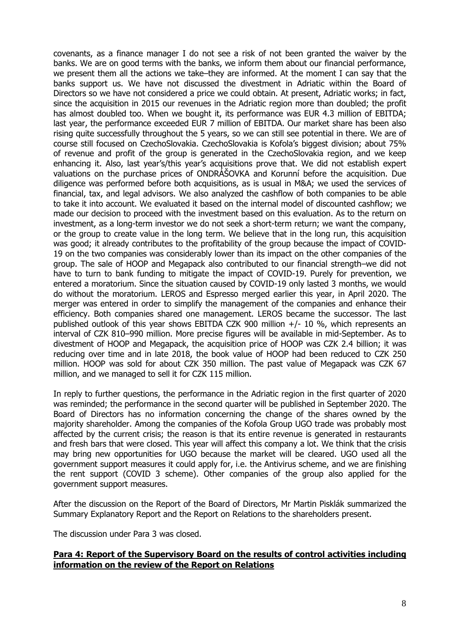covenants, as a finance manager I do not see a risk of not been granted the waiver by the banks. We are on good terms with the banks, we inform them about our financial performance, we present them all the actions we take–they are informed. At the moment I can say that the banks support us. We have not discussed the divestment in Adriatic within the Board of Directors so we have not considered a price we could obtain. At present, Adriatic works; in fact, since the acquisition in 2015 our revenues in the Adriatic region more than doubled; the profit has almost doubled too. When we bought it, its performance was EUR 4.3 million of EBITDA; last year, the performance exceeded EUR 7 million of EBITDA. Our market share has been also rising quite successfully throughout the 5 years, so we can still see potential in there. We are of course still focused on CzechoSlovakia. CzechoSlovakia is Kofola's biggest division; about 75% of revenue and profit of the group is generated in the CzechoSlovakia region, and we keep enhancing it. Also, last year's/this year's acquisitions prove that. We did not establish expert valuations on the purchase prices of ONDRÁŠOVKA and Korunní before the acquisition. Due diligence was performed before both acquisitions, as is usual in M&A; we used the services of financial, tax, and legal advisors. We also analyzed the cashflow of both companies to be able to take it into account. We evaluated it based on the internal model of discounted cashflow; we made our decision to proceed with the investment based on this evaluation. As to the return on investment, as a long-term investor we do not seek a short-term return; we want the company, or the group to create value in the long term. We believe that in the long run, this acquisition was good; it already contributes to the profitability of the group because the impact of COVID-19 on the two companies was considerably lower than its impact on the other companies of the group. The sale of HOOP and Megapack also contributed to our financial strength–we did not have to turn to bank funding to mitigate the impact of COVID-19. Purely for prevention, we entered a moratorium. Since the situation caused by COVID-19 only lasted 3 months, we would do without the moratorium. LEROS and Espresso merged earlier this year, in April 2020. The merger was entered in order to simplify the management of the companies and enhance their efficiency. Both companies shared one management. LEROS became the successor. The last published outlook of this year shows EBITDA CZK 900 million +/- 10 %, which represents an interval of CZK 810–990 million. More precise figures will be available in mid-September. As to divestment of HOOP and Megapack, the acquisition price of HOOP was CZK 2.4 billion; it was reducing over time and in late 2018, the book value of HOOP had been reduced to CZK 250 million. HOOP was sold for about CZK 350 million. The past value of Megapack was CZK 67 million, and we managed to sell it for CZK 115 million.

In reply to further questions, the performance in the Adriatic region in the first quarter of 2020 was reminded; the performance in the second quarter will be published in September 2020. The Board of Directors has no information concerning the change of the shares owned by the majority shareholder. Among the companies of the Kofola Group UGO trade was probably most affected by the current crisis; the reason is that its entire revenue is generated in restaurants and fresh bars that were closed. This year will affect this company a lot. We think that the crisis may bring new opportunities for UGO because the market will be cleared. UGO used all the government support measures it could apply for, i.e. the Antivirus scheme, and we are finishing the rent support (COVID 3 scheme). Other companies of the group also applied for the government support measures.

After the discussion on the Report of the Board of Directors, Mr Martin Pisklák summarized the Summary Explanatory Report and the Report on Relations to the shareholders present.

The discussion under Para 3 was closed.

# **Para 4: Report of the Supervisory Board on the results of control activities including information on the review of the Report on Relations**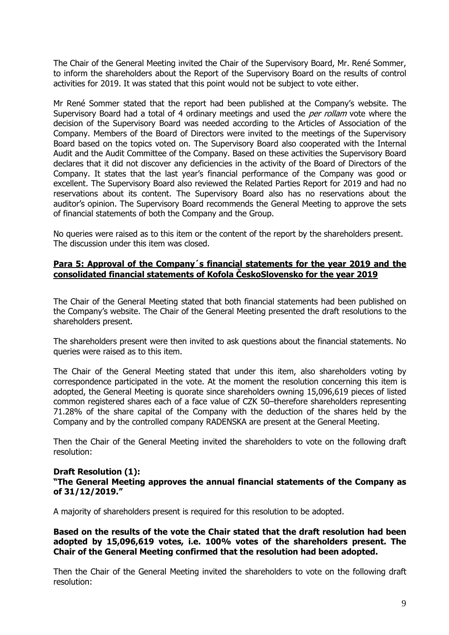The Chair of the General Meeting invited the Chair of the Supervisory Board, Mr. René Sommer, to inform the shareholders about the Report of the Supervisory Board on the results of control activities for 2019. It was stated that this point would not be subject to vote either.

Mr René Sommer stated that the report had been published at the Company's website. The Supervisory Board had a total of 4 ordinary meetings and used the *per rollam* vote where the decision of the Supervisory Board was needed according to the Articles of Association of the Company. Members of the Board of Directors were invited to the meetings of the Supervisory Board based on the topics voted on. The Supervisory Board also cooperated with the Internal Audit and the Audit Committee of the Company. Based on these activities the Supervisory Board declares that it did not discover any deficiencies in the activity of the Board of Directors of the Company. It states that the last year's financial performance of the Company was good or excellent. The Supervisory Board also reviewed the Related Parties Report for 2019 and had no reservations about its content. The Supervisory Board also has no reservations about the auditor's opinion. The Supervisory Board recommends the General Meeting to approve the sets of financial statements of both the Company and the Group.

No queries were raised as to this item or the content of the report by the shareholders present. The discussion under this item was closed.

# **Para 5: Approval of the Company´s financial statements for the year 2019 and the consolidated financial statements of Kofola ČeskoSlovensko for the year 2019**

The Chair of the General Meeting stated that both financial statements had been published on the Company's website. The Chair of the General Meeting presented the draft resolutions to the shareholders present.

The shareholders present were then invited to ask questions about the financial statements. No queries were raised as to this item.

The Chair of the General Meeting stated that under this item, also shareholders voting by correspondence participated in the vote. At the moment the resolution concerning this item is adopted, the General Meeting is quorate since shareholders owning 15,096,619 pieces of listed common registered shares each of a face value of CZK 50–therefore shareholders representing 71.28% of the share capital of the Company with the deduction of the shares held by the Company and by the controlled company RADENSKA are present at the General Meeting.

Then the Chair of the General Meeting invited the shareholders to vote on the following draft resolution:

### **Draft Resolution (1):**

**"The General Meeting approves the annual financial statements of the Company as of 31/12/2019."** 

A majority of shareholders present is required for this resolution to be adopted.

**Based on the results of the vote the Chair stated that the draft resolution had been adopted by 15,096,619 votes, i.e. 100% votes of the shareholders present. The Chair of the General Meeting confirmed that the resolution had been adopted.**

Then the Chair of the General Meeting invited the shareholders to vote on the following draft resolution: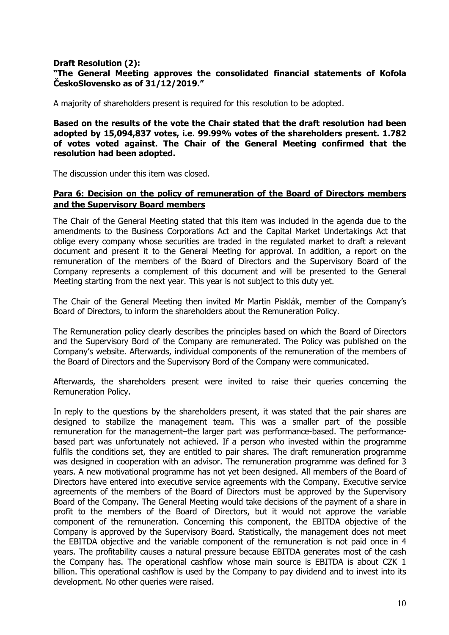## **Draft Resolution (2): "The General Meeting approves the consolidated financial statements of Kofola ČeskoSlovensko as of 31/12/2019."**

A majority of shareholders present is required for this resolution to be adopted.

**Based on the results of the vote the Chair stated that the draft resolution had been adopted by 15,094,837 votes, i.e. 99.99% votes of the shareholders present. 1.782 of votes voted against. The Chair of the General Meeting confirmed that the resolution had been adopted.**

The discussion under this item was closed.

### **Para 6: Decision on the policy of remuneration of the Board of Directors members and the Supervisory Board members**

The Chair of the General Meeting stated that this item was included in the agenda due to the amendments to the Business Corporations Act and the Capital Market Undertakings Act that oblige every company whose securities are traded in the regulated market to draft a relevant document and present it to the General Meeting for approval. In addition, a report on the remuneration of the members of the Board of Directors and the Supervisory Board of the Company represents a complement of this document and will be presented to the General Meeting starting from the next year. This year is not subject to this duty yet.

The Chair of the General Meeting then invited Mr Martin Pisklák, member of the Company's Board of Directors, to inform the shareholders about the Remuneration Policy.

The Remuneration policy clearly describes the principles based on which the Board of Directors and the Supervisory Bord of the Company are remunerated. The Policy was published on the Company's website. Afterwards, individual components of the remuneration of the members of the Board of Directors and the Supervisory Bord of the Company were communicated.

Afterwards, the shareholders present were invited to raise their queries concerning the Remuneration Policy.

In reply to the questions by the shareholders present, it was stated that the pair shares are designed to stabilize the management team. This was a smaller part of the possible remuneration for the management–the larger part was performance-based. The performancebased part was unfortunately not achieved. If a person who invested within the programme fulfils the conditions set, they are entitled to pair shares. The draft remuneration programme was designed in cooperation with an advisor. The remuneration programme was defined for 3 years. A new motivational programme has not yet been designed. All members of the Board of Directors have entered into executive service agreements with the Company. Executive service agreements of the members of the Board of Directors must be approved by the Supervisory Board of the Company. The General Meeting would take decisions of the payment of a share in profit to the members of the Board of Directors, but it would not approve the variable component of the remuneration. Concerning this component, the EBITDA objective of the Company is approved by the Supervisory Board. Statistically, the management does not meet the EBITDA objective and the variable component of the remuneration is not paid once in 4 years. The profitability causes a natural pressure because EBITDA generates most of the cash the Company has. The operational cashflow whose main source is EBITDA is about CZK 1 billion. This operational cashflow is used by the Company to pay dividend and to invest into its development. No other queries were raised.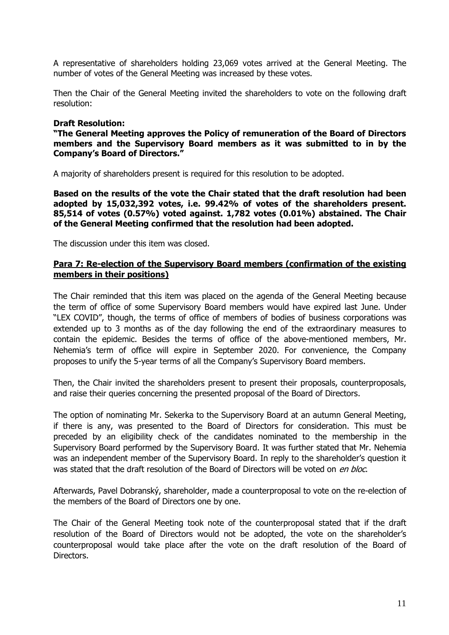A representative of shareholders holding 23,069 votes arrived at the General Meeting. The number of votes of the General Meeting was increased by these votes.

Then the Chair of the General Meeting invited the shareholders to vote on the following draft resolution:

### **Draft Resolution:**

**"The General Meeting approves the Policy of remuneration of the Board of Directors members and the Supervisory Board members as it was submitted to in by the Company's Board of Directors."** 

A majority of shareholders present is required for this resolution to be adopted.

**Based on the results of the vote the Chair stated that the draft resolution had been adopted by 15,032,392 votes, i.e. 99.42% of votes of the shareholders present. 85,514 of votes (0.57%) voted against. 1,782 votes (0.01%) abstained. The Chair of the General Meeting confirmed that the resolution had been adopted.**

The discussion under this item was closed.

## **Para 7: Re-election of the Supervisory Board members (confirmation of the existing members in their positions)**

The Chair reminded that this item was placed on the agenda of the General Meeting because the term of office of some Supervisory Board members would have expired last June. Under "LEX COVID", though, the terms of office of members of bodies of business corporations was extended up to 3 months as of the day following the end of the extraordinary measures to contain the epidemic. Besides the terms of office of the above-mentioned members, Mr. Nehemia's term of office will expire in September 2020. For convenience, the Company proposes to unify the 5-year terms of all the Company's Supervisory Board members.

Then, the Chair invited the shareholders present to present their proposals, counterproposals, and raise their queries concerning the presented proposal of the Board of Directors.

The option of nominating Mr. Sekerka to the Supervisory Board at an autumn General Meeting, if there is any, was presented to the Board of Directors for consideration. This must be preceded by an eligibility check of the candidates nominated to the membership in the Supervisory Board performed by the Supervisory Board. It was further stated that Mr. Nehemia was an independent member of the Supervisory Board. In reply to the shareholder's question it was stated that the draft resolution of the Board of Directors will be voted on en bloc.

Afterwards, Pavel Dobranský, shareholder, made a counterproposal to vote on the re-election of the members of the Board of Directors one by one.

The Chair of the General Meeting took note of the counterproposal stated that if the draft resolution of the Board of Directors would not be adopted, the vote on the shareholder's counterproposal would take place after the vote on the draft resolution of the Board of Directors.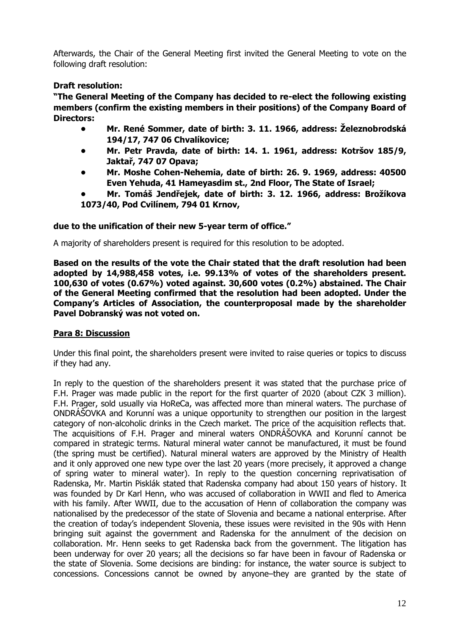Afterwards, the Chair of the General Meeting first invited the General Meeting to vote on the following draft resolution:

# **Draft resolution:**

**"The General Meeting of the Company has decided to re-elect the following existing members (confirm the existing members in their positions) of the Company Board of Directors:**

- **• Mr. René Sommer, date of birth: 3. 11. 1966, address: Železnobrodská 194/17, 747 06 Chvalíkovice;**
- **• Mr. Petr Pravda, date of birth: 14. 1. 1961, address: Kotršov 185/9, Jaktař, 747 07 Opava;**
- **• Mr. Moshe Cohen-Nehemia, date of birth: 26. 9. 1969, address: 40500 Even Yehuda, 41 Hameyasdim st., 2nd Floor, The State of Israel;**
- **• Mr. Tomáš Jendřejek, date of birth: 3. 12. 1966, address: Brožíkova 1073/40, Pod Cvilínem, 794 01 Krnov,**

# **due to the unification of their new 5-year term of office."**

A majority of shareholders present is required for this resolution to be adopted.

**Based on the results of the vote the Chair stated that the draft resolution had been adopted by 14,988,458 votes, i.e. 99.13% of votes of the shareholders present. 100,630 of votes (0.67%) voted against. 30,600 votes (0.2%) abstained. The Chair of the General Meeting confirmed that the resolution had been adopted. Under the Company's Articles of Association, the counterproposal made by the shareholder Pavel Dobranský was not voted on.**

# **Para 8: Discussion**

Under this final point, the shareholders present were invited to raise queries or topics to discuss if they had any.

In reply to the question of the shareholders present it was stated that the purchase price of F.H. Prager was made public in the report for the first quarter of 2020 (about CZK 3 million). F.H. Prager, sold usually via HoReCa, was affected more than mineral waters. The purchase of ONDRÁŠOVKA and Korunní was a unique opportunity to strengthen our position in the largest category of non-alcoholic drinks in the Czech market. The price of the acquisition reflects that. The acquisitions of F.H. Prager and mineral waters ONDRÁŠOVKA and Korunní cannot be compared in strategic terms. Natural mineral water cannot be manufactured, it must be found (the spring must be certified). Natural mineral waters are approved by the Ministry of Health and it only approved one new type over the last 20 years (more precisely, it approved a change of spring water to mineral water). In reply to the question concerning reprivatisation of Radenska, Mr. Martin Pisklák stated that Radenska company had about 150 years of history. It was founded by Dr Karl Henn, who was accused of collaboration in WWII and fled to America with his family. After WWII, due to the accusation of Henn of collaboration the company was nationalised by the predecessor of the state of Slovenia and became a national enterprise. After the creation of today's independent Slovenia, these issues were revisited in the 90s with Henn bringing suit against the government and Radenska for the annulment of the decision on collaboration. Mr. Henn seeks to get Radenska back from the government. The litigation has been underway for over 20 years; all the decisions so far have been in favour of Radenska or the state of Slovenia. Some decisions are binding: for instance, the water source is subject to concessions. Concessions cannot be owned by anyone–they are granted by the state of